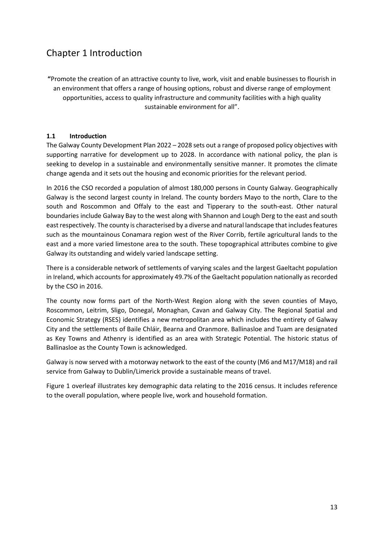# Chapter 1 Introduction

**"**Promote the creation of an attractive county to live, work, visit and enable businesses to flourish in an environment that offers a range of housing options, robust and diverse range of employment opportunities, access to quality infrastructure and community facilities with a high quality sustainable environment for all".

## **1.1 Introduction**

The Galway County Development Plan 2022 – 2028 sets out a range of proposed policy objectives with supporting narrative for development up to 2028. In accordance with national policy, the plan is seeking to develop in a sustainable and environmentally sensitive manner. It promotes the climate change agenda and it sets out the housing and economic priorities for the relevant period.

In 2016 the CSO recorded a population of almost 180,000 persons in County Galway. Geographically Galway is the second largest county in Ireland. The county borders Mayo to the north, Clare to the south and Roscommon and Offaly to the east and Tipperary to the south-east. Other natural boundaries include Galway Bay to the west along with Shannon and Lough Derg to the east and south east respectively. The county is characterised by a diverse and natural landscape that includes features such as the mountainous Conamara region west of the River Corrib, fertile agricultural lands to the east and a more varied limestone area to the south. These topographical attributes combine to give Galway its outstanding and widely varied landscape setting.

There is a considerable network of settlements of varying scales and the largest Gaeltacht population in Ireland, which accounts for approximately 49.7% of the Gaeltacht population nationally as recorded by the CSO in 2016.

The county now forms part of the North-West Region along with the seven counties of Mayo, Roscommon, Leitrim, Sligo, Donegal, Monaghan, Cavan and Galway City. The Regional Spatial and Economic Strategy (RSES) identifies a new metropolitan area which includes the entirety of Galway City and the settlements of Baile Chláir, Bearna and Oranmore. Ballinasloe and Tuam are designated as Key Towns and Athenry is identified as an area with Strategic Potential. The historic status of Ballinasloe as the County Town is acknowledged.

Galway is now served with a motorway network to the east of the county (M6 and M17/M18) and rail service from Galway to Dublin/Limerick provide a sustainable means of travel.

Figure 1 overleaf illustrates key demographic data relating to the 2016 census. It includes reference to the overall population, where people live, work and household formation.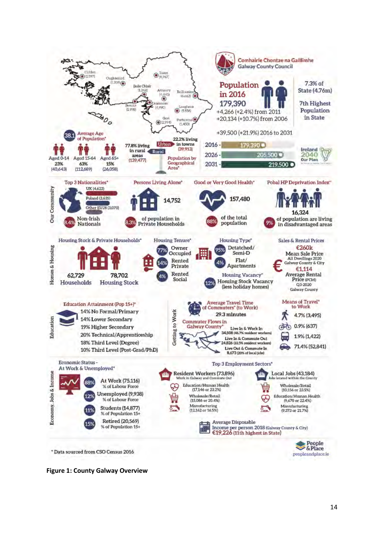

**Figure 1: County Galway Overview**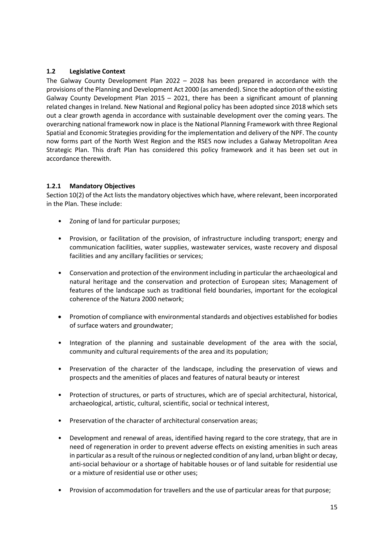## **1.2 Legislative Context**

The Galway County Development Plan 2022 – 2028 has been prepared in accordance with the provisions of the Planning and Development Act 2000 (as amended). Since the adoption of the existing Galway County Development Plan  $2015 - 2021$ , there has been a significant amount of planning related changes in Ireland. New National and Regional policy has been adopted since 2018 which sets out a clear growth agenda in accordance with sustainable development over the coming years. The overarching national framework now in place is the National Planning Framework with three Regional Spatial and Economic Strategies providing for the implementation and delivery of the NPF. The county now forms part of the North West Region and the RSES now includes a Galway Metropolitan Area Strategic Plan. This draft Plan has considered this policy framework and it has been set out in accordance therewith.

## **1.2.1 Mandatory Objectives**

Section 10(2) of the Act lists the mandatory objectives which have, where relevant, been incorporated in the Plan. These include:

- Zoning of land for particular purposes;
- Provision, or facilitation of the provision, of infrastructure including transport; energy and communication facilities, water supplies, wastewater services, waste recovery and disposal facilities and any ancillary facilities or services;
- Conservation and protection of the environment including in particular the archaeological and natural heritage and the conservation and protection of European sites; Management of features of the landscape such as traditional field boundaries, important for the ecological coherence of the Natura 2000 network;
- Promotion of compliance with environmental standards and objectives established for bodies of surface waters and groundwater;
- Integration of the planning and sustainable development of the area with the social, community and cultural requirements of the area and its population;
- Preservation of the character of the landscape, including the preservation of views and prospects and the amenities of places and features of natural beauty or interest
- Protection of structures, or parts of structures, which are of special architectural, historical, archaeological, artistic, cultural, scientific, social or technical interest,
- Preservation of the character of architectural conservation areas;
- Development and renewal of areas, identified having regard to the core strategy, that are in need of regeneration in order to prevent adverse effects on existing amenities in such areas in particular as a result of the ruinous or neglected condition of any land, urban blight or decay, anti-social behaviour or a shortage of habitable houses or of land suitable for residential use or a mixture of residential use or other uses;
- Provision of accommodation for travellers and the use of particular areas for that purpose;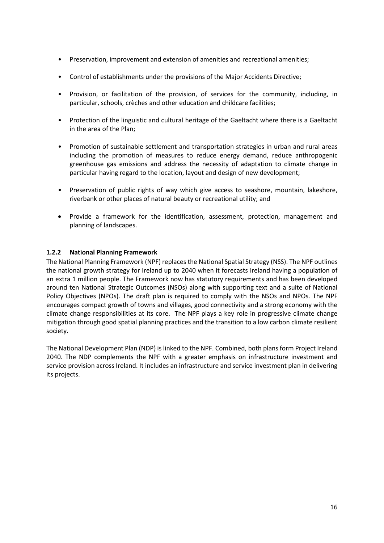- Preservation, improvement and extension of amenities and recreational amenities;
- Control of establishments under the provisions of the Major Accidents Directive;
- Provision, or facilitation of the provision, of services for the community, including, in particular, schools, crèches and other education and childcare facilities;
- Protection of the linguistic and cultural heritage of the Gaeltacht where there is a Gaeltacht in the area of the Plan;
- Promotion of sustainable settlement and transportation strategies in urban and rural areas including the promotion of measures to reduce energy demand, reduce anthropogenic greenhouse gas emissions and address the necessity of adaptation to climate change in particular having regard to the location, layout and design of new development;
- Preservation of public rights of way which give access to seashore, mountain, lakeshore, riverbank or other places of natural beauty or recreational utility; and
- Provide a framework for the identification, assessment, protection, management and planning of landscapes.

## **1.2.2 National Planning Framework**

The National Planning Framework (NPF) replaces the National Spatial Strategy (NSS). The NPF outlines the national growth strategy for Ireland up to 2040 when it forecasts Ireland having a population of an extra 1 million people. The Framework now has statutory requirements and has been developed around ten National Strategic Outcomes (NSOs) along with supporting text and a suite of National Policy Objectives (NPOs). The draft plan is required to comply with the NSOs and NPOs. The NPF encourages compact growth of towns and villages, good connectivity and a strong economy with the climate change responsibilities at its core. The NPF plays a key role in progressive climate change mitigation through good spatial planning practices and the transition to a low carbon climate resilient society.

The National Development Plan (NDP) is linked to the NPF. Combined, both plans form Project Ireland 2040. The NDP complements the NPF with a greater emphasis on infrastructure investment and service provision across Ireland. It includes an infrastructure and service investment plan in delivering its projects.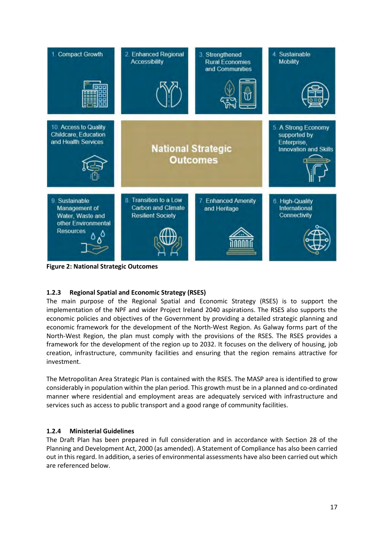

**Figure 2: National Strategic Outcomes**

# **1.2.3 Regional Spatial and Economic Strategy (RSES)**

The main purpose of the Regional Spatial and Economic Strategy (RSES) is to support the implementation of the NPF and wider Project Ireland 2040 aspirations. The RSES also supports the economic policies and objectives of the Government by providing a detailed strategic planning and economic framework for the development of the North-West Region. As Galway forms part of the North-West Region, the plan must comply with the provisions of the RSES. The RSES provides a framework for the development of the region up to 2032. It focuses on the delivery of housing, job creation, infrastructure, community facilities and ensuring that the region remains attractive for investment.

The Metropolitan Area Strategic Plan is contained with the RSES. The MASP area is identified to grow considerably in population within the plan period. This growth must be in a planned and co-ordinated manner where residential and employment areas are adequately serviced with infrastructure and services such as access to public transport and a good range of community facilities.

## **1.2.4 Ministerial Guidelines**

The Draft Plan has been prepared in full consideration and in accordance with Section 28 of the Planning and Development Act, 2000 (as amended). A Statement of Compliance has also been carried out in this regard. In addition, a series of environmental assessments have also been carried out which are referenced below.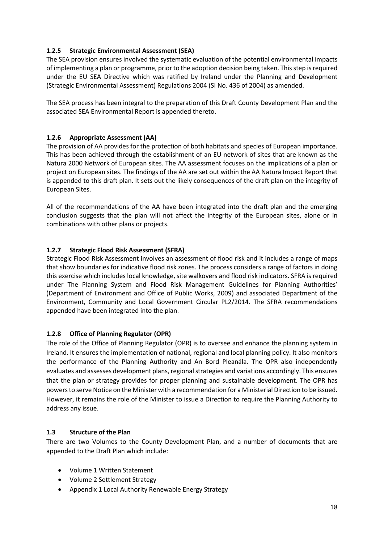## **1.2.5 Strategic Environmental Assessment (SEA)**

The SEA provision ensures involved the systematic evaluation of the potential environmental impacts of implementing a plan or programme, prior to the adoption decision being taken. This step is required under the EU SEA Directive which was ratified by Ireland under the Planning and Development (Strategic Environmental Assessment) Regulations 2004 (SI No. 436 of 2004) as amended.

The SEA process has been integral to the preparation of this Draft County Development Plan and the associated SEA Environmental Report is appended thereto.

## **1.2.6 Appropriate Assessment (AA)**

The provision of AA provides for the protection of both habitats and species of European importance. This has been achieved through the establishment of an EU network of sites that are known as the Natura 2000 Network of European sites. The AA assessment focuses on the implications of a plan or project on European sites. The findings of the AA are set out within the AA Natura Impact Report that is appended to this draft plan. It sets out the likely consequences of the draft plan on the integrity of European Sites.

All of the recommendations of the AA have been integrated into the draft plan and the emerging conclusion suggests that the plan will not affect the integrity of the European sites, alone or in combinations with other plans or projects.

## **1.2.7 Strategic Flood Risk Assessment (SFRA)**

Strategic Flood Risk Assessment involves an assessment of flood risk and it includes a range of maps that show boundaries for indicative flood risk zones. The process considers a range of factors in doing this exercise which includes local knowledge, site walkovers and flood risk indicators. SFRA is required under The Planning System and Flood Risk Management Guidelines for Planning Authorities' (Department of Environment and Office of Public Works, 2009) and associated Department of the Environment, Community and Local Government Circular PL2/2014. The SFRA recommendations appended have been integrated into the plan.

## **1.2.8 Office of Planning Regulator (OPR)**

The role of the Office of Planning Regulator (OPR) is to oversee and enhance the planning system in Ireland. It ensures the implementation of national, regional and local planning policy. It also monitors the performance of the Planning Authority and An Bord Pleanála. The OPR also independently evaluates and assesses development plans, regional strategies and variations accordingly. This ensures that the plan or strategy provides for proper planning and sustainable development. The OPR has powers to serve Notice on the Minister with a recommendation for a Ministerial Direction to be issued. However, it remains the role of the Minister to issue a Direction to require the Planning Authority to address any issue.

## **1.3 Structure of the Plan**

There are two Volumes to the County Development Plan, and a number of documents that are appended to the Draft Plan which include:

- Volume 1 Written Statement
- Volume 2 Settlement Strategy
- Appendix 1 Local Authority Renewable Energy Strategy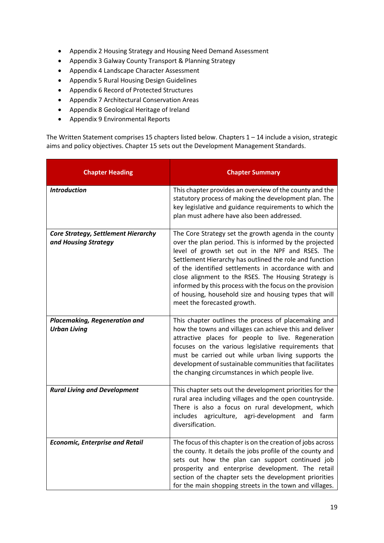- Appendix 2 Housing Strategy and Housing Need Demand Assessment
- Appendix 3 Galway County Transport & Planning Strategy
- Appendix 4 Landscape Character Assessment
- Appendix 5 Rural Housing Design Guidelines
- Appendix 6 Record of Protected Structures
- Appendix 7 Architectural Conservation Areas
- Appendix 8 Geological Heritage of Ireland
- Appendix 9 Environmental Reports

The Written Statement comprises 15 chapters listed below. Chapters 1 – 14 include a vision, strategic aims and policy objectives. Chapter 15 sets out the Development Management Standards.

| <b>Chapter Heading</b>                                             | <b>Chapter Summary</b>                                                                                                                                                                                                                                                                                                                                                                                                                                                                               |
|--------------------------------------------------------------------|------------------------------------------------------------------------------------------------------------------------------------------------------------------------------------------------------------------------------------------------------------------------------------------------------------------------------------------------------------------------------------------------------------------------------------------------------------------------------------------------------|
| <b>Introduction</b>                                                | This chapter provides an overview of the county and the<br>statutory process of making the development plan. The<br>key legislative and guidance requirements to which the<br>plan must adhere have also been addressed.                                                                                                                                                                                                                                                                             |
| <b>Core Strategy, Settlement Hierarchy</b><br>and Housing Strategy | The Core Strategy set the growth agenda in the county<br>over the plan period. This is informed by the projected<br>level of growth set out in the NPF and RSES. The<br>Settlement Hierarchy has outlined the role and function<br>of the identified settlements in accordance with and<br>close alignment to the RSES. The Housing Strategy is<br>informed by this process with the focus on the provision<br>of housing, household size and housing types that will<br>meet the forecasted growth. |
| Placemaking, Regeneration and<br><b>Urban Living</b>               | This chapter outlines the process of placemaking and<br>how the towns and villages can achieve this and deliver<br>attractive places for people to live. Regeneration<br>focuses on the various legislative requirements that<br>must be carried out while urban living supports the<br>development of sustainable communities that facilitates<br>the changing circumstances in which people live.                                                                                                  |
| <b>Rural Living and Development</b>                                | This chapter sets out the development priorities for the<br>rural area including villages and the open countryside.<br>There is also a focus on rural development, which<br>includes agriculture, agri-development and<br>farm<br>diversification.                                                                                                                                                                                                                                                   |
| <b>Economic, Enterprise and Retail</b>                             | The focus of this chapter is on the creation of jobs across<br>the county. It details the jobs profile of the county and<br>sets out how the plan can support continued job<br>prosperity and enterprise development. The retail<br>section of the chapter sets the development priorities<br>for the main shopping streets in the town and villages.                                                                                                                                                |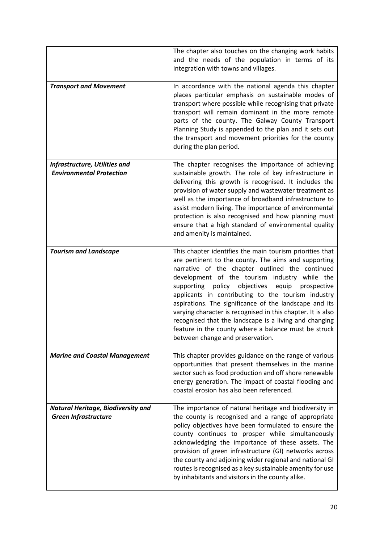|                                                                          | The chapter also touches on the changing work habits<br>and the needs of the population in terms of its<br>integration with towns and villages.                                                                                                                                                                                                                                                                                                                                                                                                                                                                      |
|--------------------------------------------------------------------------|----------------------------------------------------------------------------------------------------------------------------------------------------------------------------------------------------------------------------------------------------------------------------------------------------------------------------------------------------------------------------------------------------------------------------------------------------------------------------------------------------------------------------------------------------------------------------------------------------------------------|
| <b>Transport and Movement</b>                                            | In accordance with the national agenda this chapter<br>places particular emphasis on sustainable modes of<br>transport where possible while recognising that private<br>transport will remain dominant in the more remote<br>parts of the county. The Galway County Transport<br>Planning Study is appended to the plan and it sets out<br>the transport and movement priorities for the county<br>during the plan period.                                                                                                                                                                                           |
| Infrastructure, Utilities and<br><b>Environmental Protection</b>         | The chapter recognises the importance of achieving<br>sustainable growth. The role of key infrastructure in<br>delivering this growth is recognised. It includes the<br>provision of water supply and wastewater treatment as<br>well as the importance of broadband infrastructure to<br>assist modern living. The importance of environmental<br>protection is also recognised and how planning must<br>ensure that a high standard of environmental quality<br>and amenity is maintained.                                                                                                                         |
| <b>Tourism and Landscape</b>                                             | This chapter identifies the main tourism priorities that<br>are pertinent to the county. The aims and supporting<br>narrative of the chapter outlined the continued<br>development of the tourism industry while the<br>policy objectives<br>supporting<br>equip<br>prospective<br>applicants in contributing to the tourism industry<br>aspirations. The significance of the landscape and its<br>varying character is recognised in this chapter. It is also<br>recognised that the landscape is a living and changing<br>feature in the county where a balance must be struck<br>between change and preservation. |
| <b>Marine and Coastal Management</b>                                     | This chapter provides guidance on the range of various<br>opportunities that present themselves in the marine<br>sector such as food production and off shore renewable<br>energy generation. The impact of coastal flooding and<br>coastal erosion has also been referenced.                                                                                                                                                                                                                                                                                                                                        |
| <b>Natural Heritage, Biodiversity and</b><br><b>Green Infrastructure</b> | The importance of natural heritage and biodiversity in<br>the county is recognised and a range of appropriate<br>policy objectives have been formulated to ensure the<br>county continues to prosper while simultaneously<br>acknowledging the importance of these assets. The<br>provision of green infrastructure (GI) networks across<br>the county and adjoining wider regional and national GI<br>routes is recognised as a key sustainable amenity for use<br>by inhabitants and visitors in the county alike.                                                                                                 |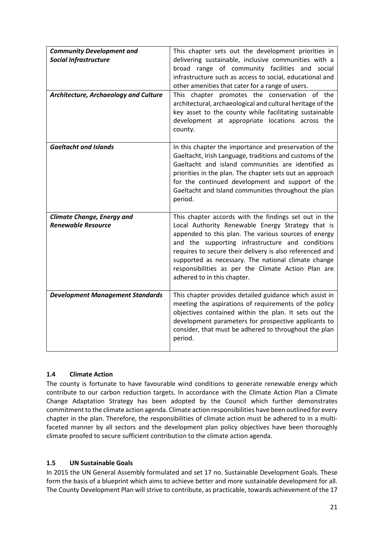| <b>Community Development and</b>        | This chapter sets out the development priorities in        |
|-----------------------------------------|------------------------------------------------------------|
| <b>Social Infrastructure</b>            | delivering sustainable, inclusive communities with a       |
|                                         | broad range of community facilities and social             |
|                                         | infrastructure such as access to social, educational and   |
|                                         | other amenities that cater for a range of users.           |
| Architecture, Archaeology and Culture   | This chapter promotes the conservation of the              |
|                                         | architectural, archaeological and cultural heritage of the |
|                                         | key asset to the county while facilitating sustainable     |
|                                         | development at appropriate locations across the            |
|                                         | county.                                                    |
|                                         |                                                            |
| <b>Gaeltacht and Islands</b>            | In this chapter the importance and preservation of the     |
|                                         | Gaeltacht, Irish Language, traditions and customs of the   |
|                                         | Gaeltacht and island communities are identified as         |
|                                         | priorities in the plan. The chapter sets out an approach   |
|                                         | for the continued development and support of the           |
|                                         | Gaeltacht and Island communities throughout the plan       |
|                                         | period.                                                    |
|                                         |                                                            |
| <b>Climate Change, Energy and</b>       | This chapter accords with the findings set out in the      |
| <b>Renewable Resource</b>               | Local Authority Renewable Energy Strategy that is          |
|                                         | appended to this plan. The various sources of energy       |
|                                         | and the supporting infrastructure and conditions           |
|                                         | requires to secure their delivery is also referenced and   |
|                                         | supported as necessary. The national climate change        |
|                                         | responsibilities as per the Climate Action Plan are        |
|                                         | adhered to in this chapter.                                |
|                                         |                                                            |
| <b>Development Management Standards</b> | This chapter provides detailed guidance which assist in    |
|                                         | meeting the aspirations of requirements of the policy      |
|                                         | objectives contained within the plan. It sets out the      |
|                                         | development parameters for prospective applicants to       |
|                                         | consider, that must be adhered to throughout the plan      |
|                                         |                                                            |
|                                         | period.                                                    |

## **1.4 Climate Action**

The county is fortunate to have favourable wind conditions to generate renewable energy which contribute to our carbon reduction targets. In accordance with the Climate Action Plan a Climate Change Adaptation Strategy has been adopted by the Council which further demonstrates commitment to the climate action agenda. Climate action responsibilities have been outlined for every chapter in the plan. Therefore, the responsibilities of climate action must be adhered to in a multifaceted manner by all sectors and the development plan policy objectives have been thoroughly climate proofed to secure sufficient contribution to the climate action agenda.

## **1.5 UN Sustainable Goals**

In 2015 the UN General Assembly formulated and set 17 no. Sustainable Development Goals. These form the basis of a blueprint which aims to achieve better and more sustainable development for all. The County Development Plan will strive to contribute, as practicable, towards achievement of the 17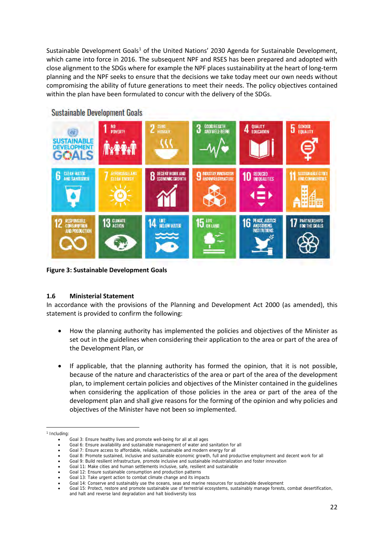Sustainable Development Goals<sup>[1](#page-9-0)</sup> of the United Nations' 2030 Agenda for Sustainable Development, which came into force in 2016. The subsequent NPF and RSES has been prepared and adopted with close alignment to the SDGs where for example the NPF places sustainability at the heart of long-term planning and the NPF seeks to ensure that the decisions we take today meet our own needs without compromising the ability of future generations to meet their needs. The policy objectives contained within the plan have been formulated to concur with the delivery of the SDGs.



**Sustainable Development Goals** 

**Figure 3: Sustainable Development Goals**

## **1.6 Ministerial Statement**

In accordance with the provisions of the Planning and Development Act 2000 (as amended), this statement is provided to confirm the following:

- How the planning authority has implemented the policies and objectives of the Minister as set out in the guidelines when considering their application to the area or part of the area of the Development Plan, or
- If applicable, that the planning authority has formed the opinion, that it is not possible, because of the nature and characteristics of the area or part of the area of the development plan, to implement certain policies and objectives of the Minister contained in the guidelines when considering the application of those policies in the area or part of the area of the development plan and shall give reasons for the forming of the opinion and why policies and objectives of the Minister have not been so implemented.

<span id="page-9-0"></span><sup>&</sup>lt;sup>1</sup> Including:

<sup>•</sup> Goal 3: Ensure healthy lives and promote well-being for all at all ages

<sup>•</sup> Goal 6: Ensure availability and sustainable management of water and sanitation for all

Goal 7: Ensure access to affordable, reliable, sustainable and modern energy for all

<sup>•</sup> Goal 8: Promote sustained, inclusive and sustainable economic growth, full and productive employment and decent work for all

<sup>•</sup> Goal 9: Build resilient infrastructure, promote inclusive and sustainable industrialization and foster innovation

<sup>•</sup> Goal 11: Make cities and human settlements inclusive, safe, resilient and sustainable

<sup>•</sup> Goal 12: Ensure sustainable consumption and production patterns

<sup>•</sup> Goal 13: Take urgent action to combat climate change and its impacts

<sup>•</sup> Goal 14: Conserve and sustainably use the oceans, seas and marine resources for sustainable development

<sup>•</sup> Goal 15: Protect, restore and promote sustainable use of terrestrial ecosystems, sustainably manage forests, combat desertification, and halt and reverse land degradation and halt biodiversity loss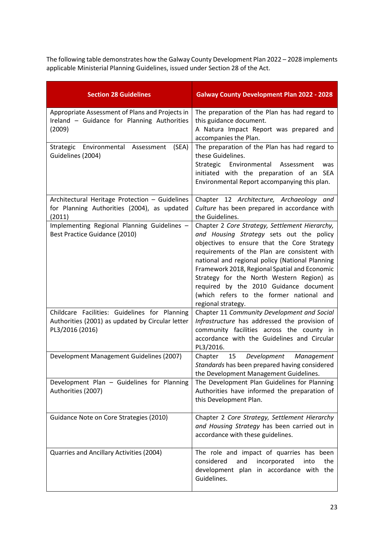The following table demonstrates how the Galway County Development Plan 2022 – 2028 implements applicable Ministerial Planning Guidelines, issued under Section 28 of the Act.

| <b>Section 28 Guidelines</b>                                                                                         | <b>Galway County Development Plan 2022 - 2028</b>                                                                                                                                                                                                                                                                                                                                                                                                      |
|----------------------------------------------------------------------------------------------------------------------|--------------------------------------------------------------------------------------------------------------------------------------------------------------------------------------------------------------------------------------------------------------------------------------------------------------------------------------------------------------------------------------------------------------------------------------------------------|
| Appropriate Assessment of Plans and Projects in<br>Ireland - Guidance for Planning Authorities<br>(2009)             | The preparation of the Plan has had regard to<br>this guidance document.<br>A Natura Impact Report was prepared and<br>accompanies the Plan.                                                                                                                                                                                                                                                                                                           |
| Strategic Environmental Assessment<br>(SEA)<br>Guidelines (2004)                                                     | The preparation of the Plan has had regard to<br>these Guidelines.<br>Strategic Environmental Assessment<br>was<br>initiated with the preparation of an SEA<br>Environmental Report accompanying this plan.                                                                                                                                                                                                                                            |
| Architectural Heritage Protection - Guidelines<br>for Planning Authorities (2004), as updated<br>(2011)              | Chapter 12 Architecture, Archaeology and<br>Culture has been prepared in accordance with<br>the Guidelines.                                                                                                                                                                                                                                                                                                                                            |
| Implementing Regional Planning Guidelines -<br>Best Practice Guidance (2010)                                         | Chapter 2 Core Strategy, Settlement Hierarchy,<br>and Housing Strategy sets out the policy<br>objectives to ensure that the Core Strategy<br>requirements of the Plan are consistent with<br>national and regional policy (National Planning<br>Framework 2018, Regional Spatial and Economic<br>Strategy for the North Western Region) as<br>required by the 2010 Guidance document<br>(which refers to the former national and<br>regional strategy. |
| Childcare Facilities: Guidelines for Planning<br>Authorities (2001) as updated by Circular letter<br>PL3/2016 (2016) | Chapter 11 Community Development and Social<br>Infrastructure has addressed the provision of<br>community facilities across the county in<br>accordance with the Guidelines and Circular<br>PL3/2016.                                                                                                                                                                                                                                                  |
| Development Management Guidelines (2007)                                                                             | Chapter<br>15<br>Development<br>Management<br>Standards has been prepared having considered<br>the Development Management Guidelines.                                                                                                                                                                                                                                                                                                                  |
| Development Plan - Guidelines for Planning<br>Authorities (2007)                                                     | The Development Plan Guidelines for Planning<br>Authorities have informed the preparation of<br>this Development Plan.                                                                                                                                                                                                                                                                                                                                 |
| Guidance Note on Core Strategies (2010)                                                                              | Chapter 2 Core Strategy, Settlement Hierarchy<br>and Housing Strategy has been carried out in<br>accordance with these guidelines.                                                                                                                                                                                                                                                                                                                     |
| Quarries and Ancillary Activities (2004)                                                                             | The role and impact of quarries has been<br>considered<br>and<br>incorporated<br>into<br>the<br>development plan in accordance with the<br>Guidelines.                                                                                                                                                                                                                                                                                                 |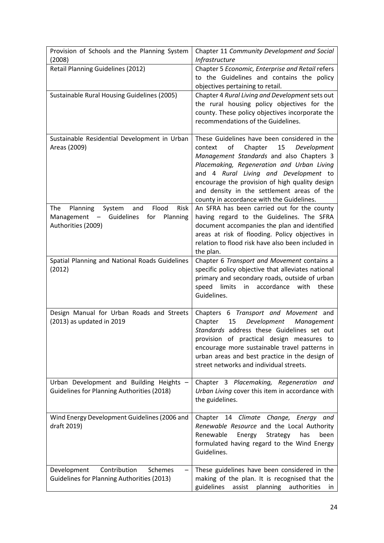| Provision of Schools and the Planning System<br>(2008)                                                                                  | Chapter 11 Community Development and Social<br><b>Infrastructure</b>                                                                                                                                                                                                                                                                                                          |
|-----------------------------------------------------------------------------------------------------------------------------------------|-------------------------------------------------------------------------------------------------------------------------------------------------------------------------------------------------------------------------------------------------------------------------------------------------------------------------------------------------------------------------------|
| Retail Planning Guidelines (2012)                                                                                                       | Chapter 5 Economic, Enterprise and Retail refers<br>to the Guidelines and contains the policy<br>objectives pertaining to retail.                                                                                                                                                                                                                                             |
| Sustainable Rural Housing Guidelines (2005)                                                                                             | Chapter 4 Rural Living and Development sets out<br>the rural housing policy objectives for the<br>county. These policy objectives incorporate the<br>recommendations of the Guidelines.                                                                                                                                                                                       |
| Sustainable Residential Development in Urban<br>Areas (2009)                                                                            | These Guidelines have been considered in the<br>of<br>Chapter<br>15<br>context<br>Development<br>Management Standards and also Chapters 3<br>Placemaking, Regeneration and Urban Living<br>and 4 Rural Living and Development to<br>encourage the provision of high quality design<br>and density in the settlement areas of the<br>county in accordance with the Guidelines. |
| Flood<br>Risk<br>Planning<br>System<br>and<br>The<br>Guidelines<br>Management<br>for<br>Planning<br>$\frac{1}{2}$<br>Authorities (2009) | An SFRA has been carried out for the county<br>having regard to the Guidelines. The SFRA<br>document accompanies the plan and identified<br>areas at risk of flooding. Policy objectives in<br>relation to flood risk have also been included in<br>the plan.                                                                                                                 |
| Spatial Planning and National Roads Guidelines<br>(2012)                                                                                | Chapter 6 Transport and Movement contains a<br>specific policy objective that alleviates national<br>primary and secondary roads, outside of urban<br>speed<br>limits<br>accordance<br>with<br>these<br>in<br>Guidelines.                                                                                                                                                     |
| Design Manual for Urban Roads and Streets<br>(2013) as updated in 2019                                                                  | Chapters 6 Transport and Movement and<br>Chapter<br>15<br>Development<br>Management<br>Standards address these Guidelines set out<br>provision of practical design measures to<br>encourage more sustainable travel patterns in<br>urban areas and best practice in the design of<br>street networks and individual streets.                                                  |
| Urban Development and Building Heights -<br><b>Guidelines for Planning Authorities (2018)</b>                                           | Chapter 3 Placemaking, Regeneration and<br>Urban Living cover this item in accordance with<br>the guidelines.                                                                                                                                                                                                                                                                 |
| Wind Energy Development Guidelines (2006 and<br>draft 2019)                                                                             | Chapter 14 Climate Change, Energy and<br>Renewable Resource and the Local Authority<br>Renewable<br>Energy<br>Strategy<br>has<br>been<br>formulated having regard to the Wind Energy<br>Guidelines.                                                                                                                                                                           |
| Contribution<br>Development<br>Schemes<br><b>Guidelines for Planning Authorities (2013)</b>                                             | These guidelines have been considered in the<br>making of the plan. It is recognised that the<br>guidelines<br>assist planning authorities<br>in.                                                                                                                                                                                                                             |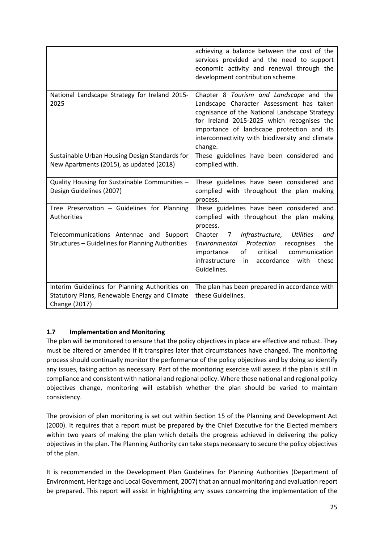|                                                                                                                  | achieving a balance between the cost of the<br>services provided and the need to support<br>economic activity and renewal through the<br>development contribution scheme.                                                                                                                      |
|------------------------------------------------------------------------------------------------------------------|------------------------------------------------------------------------------------------------------------------------------------------------------------------------------------------------------------------------------------------------------------------------------------------------|
| National Landscape Strategy for Ireland 2015-<br>2025                                                            | Chapter 8 Tourism and Landscape and the<br>Landscape Character Assessment has taken<br>cognisance of the National Landscape Strategy<br>for Ireland 2015-2025 which recognises the<br>importance of landscape protection and its<br>interconnectivity with biodiversity and climate<br>change. |
| Sustainable Urban Housing Design Standards for<br>New Apartments (2015), as updated (2018)                       | These guidelines have been considered and<br>complied with.                                                                                                                                                                                                                                    |
| Quality Housing for Sustainable Communities -<br>Design Guidelines (2007)                                        | These guidelines have been considered and<br>complied with throughout the plan making<br>process.                                                                                                                                                                                              |
| Tree Preservation - Guidelines for Planning<br><b>Authorities</b>                                                | These guidelines have been considered and<br>complied with throughout the plan making<br>process.                                                                                                                                                                                              |
| Telecommunications Antennae and Support<br>Structures - Guidelines for Planning Authorities                      | Infrastructure,<br><b>Utilities</b><br>Chapter<br>$7\overline{ }$<br>and<br>Environmental Protection<br>recognises<br>the<br>critical<br>communication<br>importance<br>of<br>infrastructure<br>accordance<br>in<br>with<br>these<br>Guidelines.                                               |
| Interim Guidelines for Planning Authorities on<br>Statutory Plans, Renewable Energy and Climate<br>Change (2017) | The plan has been prepared in accordance with<br>these Guidelines.                                                                                                                                                                                                                             |

# **1.7 Implementation and Monitoring**

The plan will be monitored to ensure that the policy objectives in place are effective and robust. They must be altered or amended if it transpires later that circumstances have changed. The monitoring process should continually monitor the performance of the policy objectives and by doing so identify any issues, taking action as necessary. Part of the monitoring exercise will assess if the plan is still in compliance and consistent with national and regional policy. Where these national and regional policy objectives change, monitoring will establish whether the plan should be varied to maintain consistency.

The provision of plan monitoring is set out within Section 15 of the Planning and Development Act (2000). It requires that a report must be prepared by the Chief Executive for the Elected members within two years of making the plan which details the progress achieved in delivering the policy objectives in the plan. The Planning Authority can take steps necessary to secure the policy objectives of the plan.

It is recommended in the Development Plan Guidelines for Planning Authorities (Department of Environment, Heritage and Local Government, 2007) that an annual monitoring and evaluation report be prepared. This report will assist in highlighting any issues concerning the implementation of the